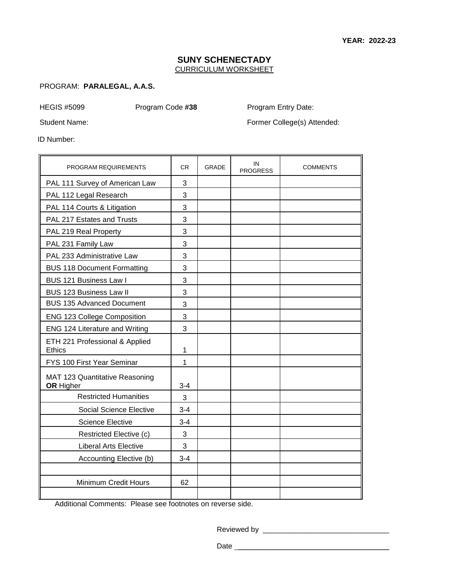## **SUNY SCHENECTADY**  CURRICULUM WORKSHEET

# PROGRAM: **PARALEGAL, A.A.S.**

HEGIS #5099

Program Code **#38** Program Entry Date:

Student Name:

Former College(s) Attended:

ID Number:

| PROGRAM REQUIREMENTS                               | CR.     | <b>GRADE</b> | IN<br><b>PROGRESS</b> | <b>COMMENTS</b> |
|----------------------------------------------------|---------|--------------|-----------------------|-----------------|
| PAL 111 Survey of American Law                     | 3       |              |                       |                 |
| PAL 112 Legal Research                             | 3       |              |                       |                 |
| PAL 114 Courts & Litigation                        | 3       |              |                       |                 |
| PAL 217 Estates and Trusts                         | 3       |              |                       |                 |
| PAL 219 Real Property                              | 3       |              |                       |                 |
| PAL 231 Family Law                                 | 3       |              |                       |                 |
| PAL 233 Administrative Law                         | 3       |              |                       |                 |
| <b>BUS 118 Document Formatting</b>                 | 3       |              |                       |                 |
| BUS 121 Business Law I                             | 3       |              |                       |                 |
| <b>BUS 123 Business Law II</b>                     | 3       |              |                       |                 |
| <b>BUS 135 Advanced Document</b>                   | 3       |              |                       |                 |
| <b>ENG 123 College Composition</b>                 | 3       |              |                       |                 |
| ENG 124 Literature and Writing                     | 3       |              |                       |                 |
| ETH 221 Professional & Applied<br>Ethics           | 1       |              |                       |                 |
| FYS 100 First Year Seminar                         | 1       |              |                       |                 |
| MAT 123 Quantitative Reasoning<br><b>OR</b> Higher | $3 - 4$ |              |                       |                 |
| <b>Restricted Humanities</b>                       | 3       |              |                       |                 |
| <b>Social Science Elective</b>                     | $3 - 4$ |              |                       |                 |
| <b>Science Elective</b>                            | $3 - 4$ |              |                       |                 |
| Restricted Elective (c)                            | 3       |              |                       |                 |
| <b>Liberal Arts Elective</b>                       | 3       |              |                       |                 |
| Accounting Elective (b)                            | $3 - 4$ |              |                       |                 |
|                                                    |         |              |                       |                 |
| Minimum Credit Hours                               | 62      |              |                       |                 |
|                                                    |         |              |                       |                 |

Additional Comments: Please see footnotes on reverse side.

Reviewed by \_\_\_\_\_\_\_\_\_\_\_\_\_\_\_\_\_\_\_\_\_\_\_\_\_\_\_\_\_\_\_

Date \_\_\_\_\_\_\_\_\_\_\_\_\_\_\_\_\_\_\_\_\_\_\_\_\_\_\_\_\_\_\_\_\_\_\_\_\_